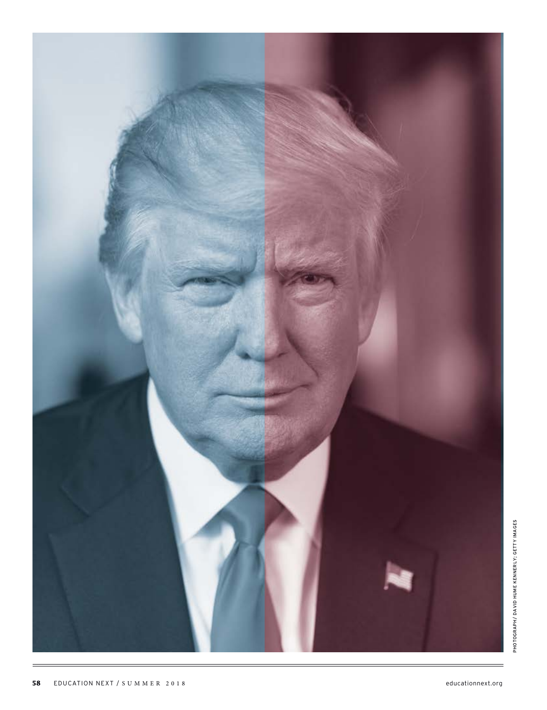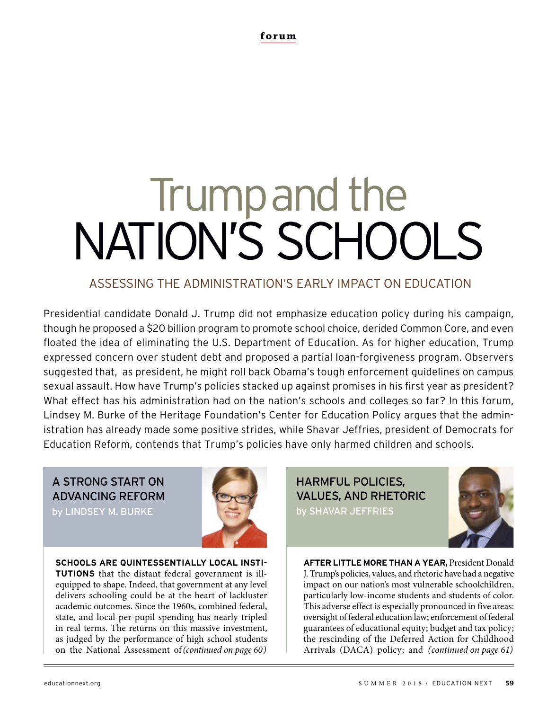# Trump and the NATION'S SCHOOLS

# ASSESSING THE ADMINISTRATION'S EARLY IMPACT ON EDUCATION

Presidential candidate Donald J. Trump did not emphasize education policy during his campaign, though he proposed a \$20 billion program to promote school choice, derided Common Core, and even floated the idea of eliminating the U.S. Department of Education. As for higher education, Trump expressed concern over student debt and proposed a partial loan-forgiveness program. Observers suggested that, as president, he might roll back Obama's tough enforcement guidelines on campus sexual assault. How have Trump's policies stacked up against promises in his first year as president? What effect has his administration had on the nation's schools and colleges so far? In this forum, Lindsey M. Burke of the Heritage Foundation's Center for Education Policy argues that the administration has already made some positive strides, while Shavar Jeffries, president of Democrats for Education Reform, contends that Trump's policies have only harmed children and schools.

A STRONG START ON ADVANCING REFORM

by LINDSEY M. BURKE



**SCHOOLS ARE QUINTESSENTIALLY LOCAL INSTI-TUTIONS** that the distant federal government is illequipped to shape. Indeed, that government at any level delivers schooling could be at the heart of lackluster academic outcomes. Since the 1960s, combined federal, state, and local per-pupil spending has nearly tripled in real terms. The returns on this massive investment, as judged by the performance of high school students on the National Assessment of (continued on page 60)

HARMFUL POLICIES, VALUES, AND RHETORIC by SHAVAR JEFFRIES



**AFTER LITTLE MORE THAN A YEAR,** President Donald J. Trump's policies, values, and rhetoric have had a negative impact on our nation's most vulnerable schoolchildren, particularly low-income students and students of color. This adverse effect is especially pronounced in five areas: oversight of federal education law; enforcement of federal guarantees of educational equity; budget and tax policy; the rescinding of the Deferred Action for Childhood (continued on page 60) ( Arrivals (DACA) policy; and (continued on page 61)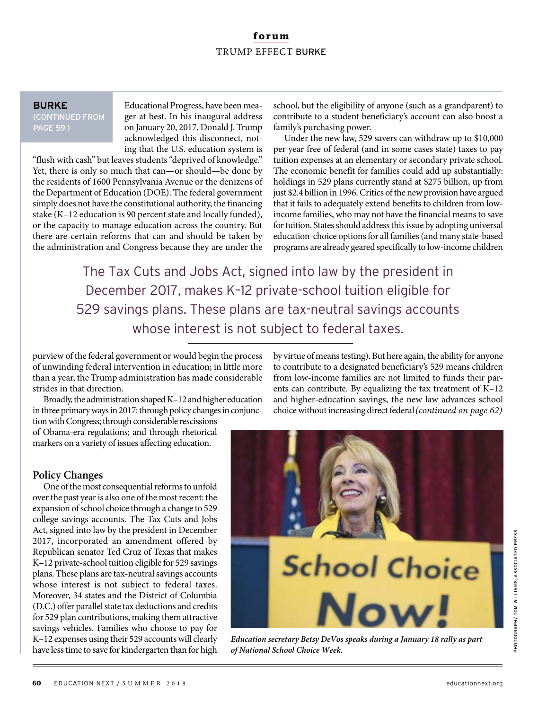# **forum** TRUMP EFFECT BURKE

#### **BURKE**

(CONTINUED FROM PAGE 59 )

Educational Progress, have been meager at best. In his inaugural address on January 20, 2017, Donald J. Trump acknowledged this disconnect, noting that the U.S. education system is

"flush with cash" but leaves students "deprived of knowledge." Yet, there is only so much that can—or should—be done by the residents of 1600 Pennsylvania Avenue or the denizens of the Department of Education (DOE). The federal government simply does not have the constitutional authority, the financing stake (K–12 education is 90 percent state and locally funded), or the capacity to manage education across the country. But there are certain reforms that can and should be taken by the administration and Congress because they are under the

school, but the eligibility of anyone (such as a grandparent) to contribute to a student beneficiary's account can also boost a family's purchasing power.

Under the new law, 529 savers can withdraw up to \$10,000 per year free of federal (and in some cases state) taxes to pay tuition expenses at an elementary or secondary private school. The economic benefit for families could add up substantially: holdings in 529 plans currently stand at \$275 billion, up from just \$2.4 billion in 1996. Critics of the new provision have argued that it fails to adequately extend benefits to children from lowincome families, who may not have the financial means to save for tuition. States should address this issue by adopting universal education-choice options for all families (and many state-based programs are already geared specifically to low-income children

The Tax Cuts and Jobs Act, signed into law by the president in December 2017, makes K–12 private-school tuition eligible for 529 savings plans. These plans are tax-neutral savings accounts whose interest is not subject to federal taxes.

purview of the federal government or would begin the process of unwinding federal intervention in education; in little more than a year, the Trump administration has made considerable strides in that direction.

Broadly, the administration shaped K–12 and higher education in three primary ways in 2017: through policy changes in conjuncby virtue of means testing). But here again, the ability for anyone to contribute to a designated beneficiary's 529 means children from low-income families are not limited to funds their parents can contribute. By equalizing the tax treatment of K–12 and higher-education savings, the new law advances school choice without increasing direct federal (continued on page 62)

tion with Congress; through considerable rescissions of Obama-era regulations; and through rhetorical markers on a variety of issues affecting education.

## **Policy Changes**

One of the most consequential reforms to unfold over the past year is also one of the most recent: the expansion of school choice through a change to 529 college savings accounts. The Tax Cuts and Jobs Act, signed into law by the president in December 2017, incorporated an amendment offered by Republican senator Ted Cruz of Texas that makes K–12 private-school tuition eligible for 529 savings plans. These plans are tax-neutral savings accounts whose interest is not subject to federal taxes. Moreover, 34 states and the District of Columbia (D.C.) offer parallel state tax deductions and credits for 529 plan contributions, making them attractive savings vehicles. Families who choose to pay for K–12 expenses using their 529 accounts will clearly have less time to save for kindergarten than for high



**Education secretary Betsy DeVos speaks during a January 18 rally as part of National School Choice Week.**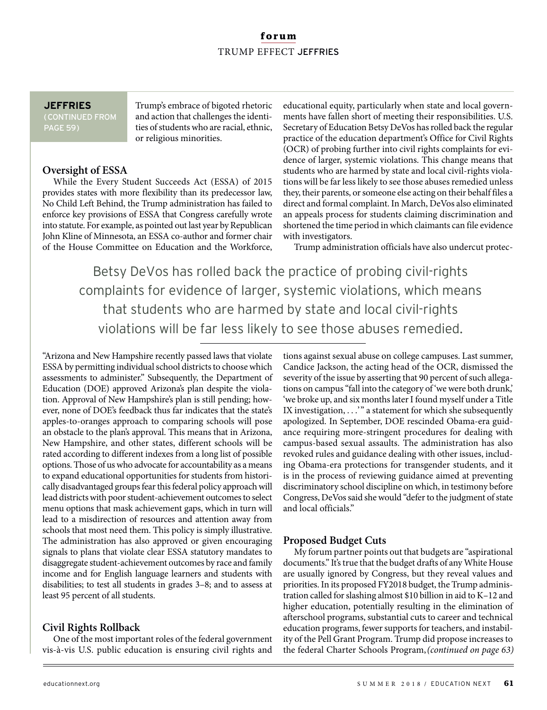# **forum** TRUMP EFFECT JEFFRIES

#### **JEFFRIES**

(CONTINUED FROM PAGE 59)

Trump's embrace of bigoted rhetoric and action that challenges the identities of students who are racial, ethnic, or religious minorities.

## **Oversight of ESSA**

While the Every Student Succeeds Act (ESSA) of 2015 provides states with more flexibility than its predecessor law, No Child Left Behind, the Trump administration has failed to enforce key provisions of ESSA that Congress carefully wrote into statute. For example, as pointed out last year by Republican John Kline of Minnesota, an ESSA co-author and former chair of the House Committee on Education and the Workforce,

educational equity, particularly when state and local governments have fallen short of meeting their responsibilities. U.S. Secretary of Education Betsy DeVos has rolled back the regular practice of the education department's Office for Civil Rights (OCR) of probing further into civil rights complaints for evidence of larger, systemic violations. This change means that students who are harmed by state and local civil-rights violations will be far less likely to see those abuses remedied unless they, their parents, or someone else acting on their behalf files a direct and formal complaint. In March, DeVos also eliminated an appeals process for students claiming discrimination and shortened the time period in which claimants can file evidence with investigators.

Trump administration officials have also undercut protec-

Betsy DeVos has rolled back the practice of probing civil-rights complaints for evidence of larger, systemic violations, which means that students who are harmed by state and local civil-rights violations will be far less likely to see those abuses remedied.

"Arizona and New Hampshire recently passed laws that violate ESSAby permitting individual school districts to choose which assessments to administer." Subsequently, the Department of Education (DOE) approved Arizona's plan despite the violation. Approval of New Hampshire's plan is still pending; however, none of DOE's feedback thus far indicates that the state's apples-to-oranges approach to comparing schools will pose an obstacle to the plan's approval. This means that in Arizona, New Hampshire, and other states, different schools will be rated according to different indexes from a long list of possible options. Those of us who advocate for accountability as a means to expand educational opportunities for students from historically disadvantaged groups fear this federal policy approach will lead districts with poor student-achievement outcomes to select menu options that mask achievement gaps, which in turn will lead to a misdirection of resources and attention away from schools that most need them. This policy is simply illustrative. The administration has also approved or given encouraging signals to plans that violate clear ESSA statutory mandates to disaggregate student-achievement outcomes by race and family income and for English language learners and students with disabilities; to test all students in grades 3–8; and to assess at least 95 percent of all students.

# **Civil Rights Rollback**

One of the most important roles of the federal government vis-à-vis U.S. public education is ensuring civil rights and

tions against sexual abuse on college campuses. Last summer, Candice Jackson, the acting head of the OCR, dismissed the severity of the issue by asserting that 90 percent of such allegations on campus "fall into the category of 'we were both drunk,' 'we broke up, and six months later I found myself under a Title IX investigation, ...'" a statement for which she subsequently apologized. In September, DOE rescinded Obama-era guidance requiring more-stringent procedures for dealing with campus-based sexual assaults. The administration has also revoked rules and guidance dealing with other issues, including Obama-era protections for transgender students, and it is in the process of reviewing guidance aimed at preventing discriminatory school discipline on which, in testimony before Congress, DeVos said she would "defer to the judgment of state and local officials."

## **Proposed Budget Cuts**

My forum partner points out that budgets are "aspirational documents." It's true that the budget drafts of any White House are usually ignored by Congress, but they reveal values and priorities. In its proposed FY2018 budget, the Trump administration called for slashing almost \$10 billion in aid to K–12 and higher education, potentially resulting in the elimination of afterschool programs, substantial cuts to career and technical education programs, fewer supports for teachers, and instability of the Pell Grant Program. Trump did propose increases to the federal Charter Schools Program, (continued on page 63)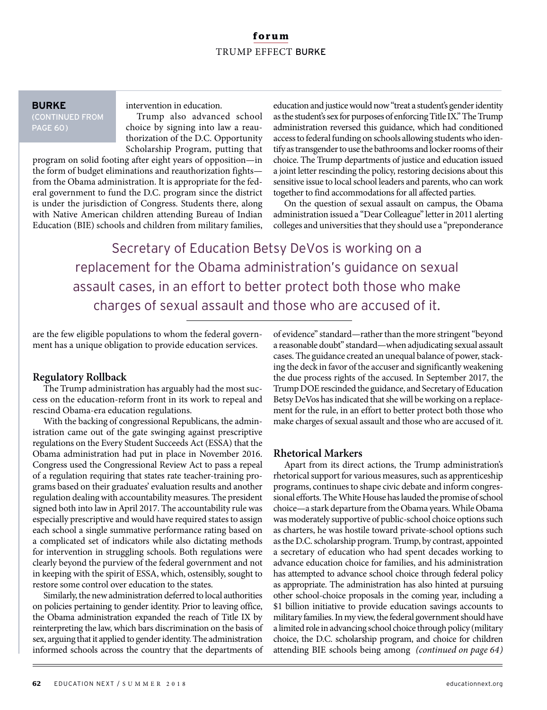## **forum** TRUMP EFFECT BURKE

#### **BURKE** (CONTINUED FROM PAGE 60)

intervention in education.

Trump also advanced school choice by signing into law a reauthorization of the D.C. Opportunity Scholarship Program, putting that

program on solid footing after eight years of opposition—in the form of budget eliminations and reauthorization fights from the Obama administration. It is appropriate for the federal government to fund the D.C. program since the district is under the jurisdiction of Congress. Students there, along with Native American children attending Bureau of Indian Education (BIE) schools and children from military families,

education and justice would now "treat a student's gender identity as the student's sex for purposes of enforcing Title IX." The Trump administration reversed this guidance, which had conditioned access to federal funding on schools allowing students who identify as transgender to use the bathrooms and locker rooms of their choice. The Trump departments of justice and education issued a joint letter rescinding the policy, restoring decisions about this sensitive issue to local school leaders and parents, who can work together to find accommodations for all affected parties.

On the question of sexual assault on campus, the Obama administration issued a "Dear Colleague" letter in 2011 alerting colleges and universities that they should use a "preponderance

Secretary of Education Betsy DeVos is working on a replacement for the Obama administration's guidance on sexual assault cases, in an effort to better protect both those who make charges of sexual assault and those who are accused of it.

are the few eligible populations to whom the federal government has a unique obligation to provide education services.

## **Regulatory Rollback**

The Trump administration has arguably had the most success on the education-reform front in its work to repeal and rescind Obama-era education regulations.

With the backing of congressional Republicans, the administration came out of the gate swinging against prescriptive regulations on the Every Student Succeeds Act (ESSA) that the Obama administration had put in place in November 2016. Congress used the Congressional Review Act to pass a repeal of a regulation requiring that states rate teacher-training programs based on their graduates' evaluation results and another regulation dealing with accountability measures. The president signed both into law in April 2017. The accountability rule was especially prescriptive and would have required states to assign each school a single summative performance rating based on a complicated set of indicators while also dictating methods for intervention in struggling schools. Both regulations were clearly beyond the purview of the federal government and not in keeping with the spirit of ESSA, which, ostensibly, sought to restore some control over education to the states.

Similarly, the new administration deferred to local authorities on policies pertaining to gender identity. Prior to leaving office, the Obama administration expanded the reach of Title IX by reinterpreting the law, which bars discrimination on the basis of sex, arguing that it applied to gender identity. The administration informed schools across the country that the departments of of evidence" standard—rather than the more stringent "beyond a reasonable doubt" standard—when adjudicating sexual assault cases. The guidance created an unequal balance of power, stacking the deck in favor of the accuser and significantly weakening the due process rights of the accused. In September 2017, the Trump DOE rescinded the guidance, and Secretary of Education Betsy DeVos has indicated that she will be working on a replacement for the rule, in an effort to better protect both those who make charges of sexual assault and those who are accused of it.

#### **Rhetorical Markers**

Apart from its direct actions, the Trump administration's rhetorical support for various measures, such as apprenticeship programs, continues to shape civic debate and inform congressional efforts. The White House has lauded the promise of school choice—a stark departure from the Obama years. While Obama was moderately supportive of public-school choice options such as charters, he was hostile toward private-school options such as the D.C. scholarship program. Trump, by contrast, appointed a secretary of education who had spent decades working to advance education choice for families, and his administration has attempted to advance school choice through federal policy as appropriate. The administration has also hinted at pursuing other school-choice proposals in the coming year, including a \$1 billion initiative to provide education savings accounts to military families. In my view, the federal government should have a limited role in advancing school choice through policy (military choice, the D.C. scholarship program, and choice for children attending BIE schools being among (continued on page 64)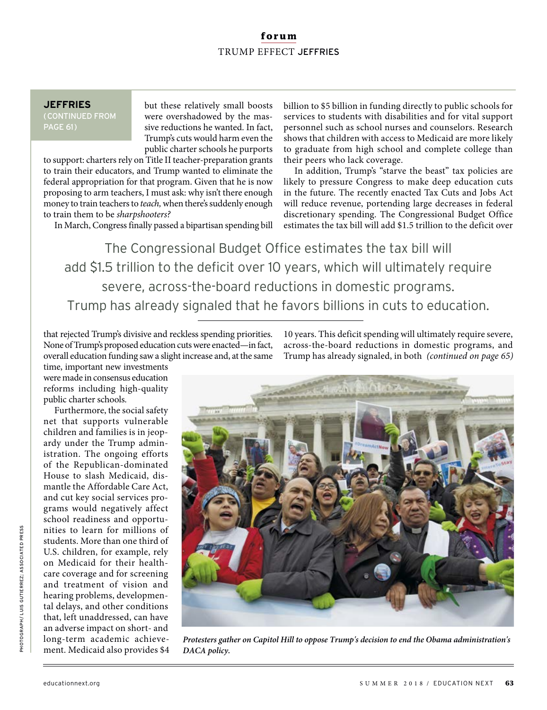# **forum** TRUMP EFFECT JEFFRIES

## **JEFFRIES**

(CONTINUED FROM PAGE 61)

but these relatively small boosts were overshadowed by the massive reductions he wanted. In fact, Trump's cuts would harm even the public charter schools he purports

to support: charters rely on Title II teacher-preparation grants to train their educators, and Trump wanted to eliminate the federal appropriation for that program. Given that he is now proposing to arm teachers, I must ask: why isn't there enough money to train teachers to teach, when there's suddenly enough to train them to be sharpshooters?

In March, Congress finally passed a bipartisan spending bill

billion to \$5 billion in funding directly to public schools for services to students with disabilities and for vital support personnel such as school nurses and counselors. Research shows that children with access to Medicaid are more likely to graduate from high school and complete college than their peers who lack coverage.

In addition, Trump's "starve the beast" tax policies are likely to pressure Congress to make deep education cuts in the future. The recently enacted Tax Cuts and Jobs Act will reduce revenue, portending large decreases in federal discretionary spending. The Congressional Budget Office estimates the tax bill will add \$1.5 trillion to the deficit over

The Congressional Budget Office estimates the tax bill will add \$1.5 trillion to the deficit over 10 years, which will ultimately require severe, across-the-board reductions in domestic programs. Trump has already signaled that he favors billions in cuts to education.

that rejected Trump's divisive and reckless spending priorities. None of Trump's proposed education cuts were enacted—in fact, overall education funding saw a slight increase and, at the same

time, important new investments were made in consensus education reforms including high-quality public charter schools.

Furthermore, the social safety net that supports vulnerable children and families is in jeopardy under the Trump administration. The ongoing efforts of the Republican-dominated House to slash Medicaid, dismantle the Affordable Care Act, and cut key social services programs would negatively affect school readiness and opportunities to learn for millions of students. More than one third of U.S. children, for example, rely on Medicaid for their healthcare coverage and for screening and treatment of vision and hearing problems, developmental delays, and other conditions that, left unaddressed, can have an adverse impact on short- and long-term academic achievement. Medicaid also provides \$4 10 years. This deficit spending will ultimately require severe, across-the-board reductions in domestic programs, and Trump has already signaled, in both (continued on page 65)



**Protesters gather on Capitol Hill to oppose Trump's decision to end the Obama administration's DACA policy.**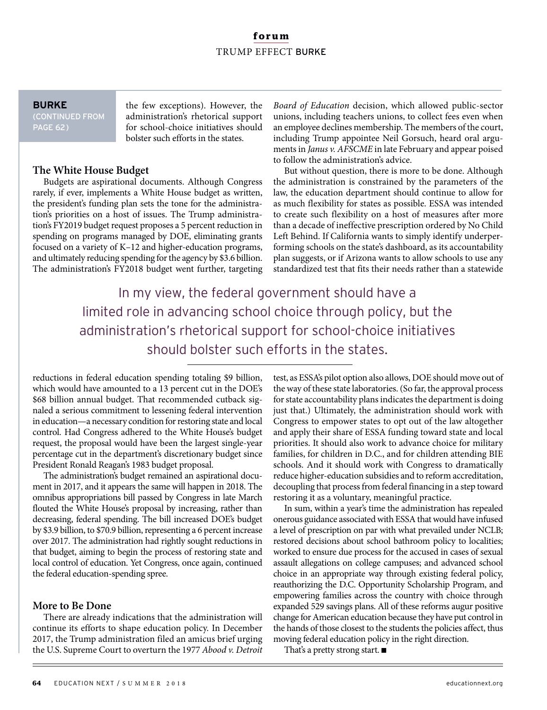## **forum** TRUMP EFFECT BURKE

# **BURKE**

(CONTINUED FROM PAGE 62)

the few exceptions). However, the administration's rhetorical support for school-choice initiatives should bolster such efforts in the states.

## **The White House Budget**

Budgets are aspirational documents. Although Congress rarely, if ever, implements a White House budget as written, the president's funding plan sets the tone for the administration's priorities on a host of issues. The Trump administration's FY2019 budget request proposes a 5 percent reduction in spending on programs managed by DOE, eliminating grants focused on a variety of K–12 and higher-education programs, and ultimately reducing spending for the agency by \$3.6 billion. The administration's FY2018 budget went further, targeting Board of Education decision, which allowed public-sector unions, including teachers unions, to collect fees even when an employee declines membership. The members of the court, including Trump appointee Neil Gorsuch, heard oral arguments in Janus v. AFSCME in late February and appear poised to follow the administration's advice.

But without question, there is more to be done. Although the administration is constrained by the parameters of the law, the education department should continue to allow for as much flexibility for states as possible. ESSA was intended to create such flexibility on a host of measures after more than a decade of ineffective prescription ordered by No Child Left Behind. If California wants to simply identify underperforming schools on the state's dashboard, as its accountability plan suggests, or if Arizona wants to allow schools to use any standardized test that fits their needs rather than a statewide

In my view, the federal government should have a limited role in advancing school choice through policy, but the administration's rhetorical support for school-choice initiatives should bolster such efforts in the states.

reductions in federal education spending totaling \$9 billion, which would have amounted to a 13 percent cut in the DOE's \$68 billion annual budget. That recommended cutback signaled a serious commitment to lessening federal intervention in education—a necessary condition for restoring state and local control. Had Congress adhered to the White House's budget request, the proposal would have been the largest single-year percentage cut in the department's discretionary budget since President Ronald Reagan's 1983 budget proposal.

The administration's budget remained an aspirational document in 2017, and it appears the same will happen in 2018. The omnibus appropriations bill passed by Congress in late March flouted the White House's proposal by increasing, rather than decreasing, federal spending. The bill increased DOE's budget by \$3.9 billion, to \$70.9 billion, representing a 6 percent increase over 2017. The administration had rightly sought reductions in that budget, aiming to begin the process of restoring state and local control of education. Yet Congress, once again, continued the federal education-spending spree.

## **More to Be Done**

There are already indications that the administration will continue its efforts to shape education policy. In December 2017, the Trump administration filed an amicus brief urging the U.S. Supreme Court to overturn the 1977 Abood v. Detroit test, as ESSA's pilot option also allows, DOE should move out of the way of these state laboratories. (So far, the approval process for state accountability plans indicates the department is doing just that.) Ultimately, the administration should work with Congress to empower states to opt out of the law altogether and apply their share of ESSA funding toward state and local priorities. It should also work to advance choice for military families, for children in D.C., and for children attending BIE schools. And it should work with Congress to dramatically reduce higher-education subsidies and to reform accreditation, decoupling that process from federal financing in a step toward restoring it as a voluntary, meaningful practice.

In sum, within a year's time the administration has repealed onerous guidance associated with ESSA that would have infused a level of prescription on par with what prevailed under NCLB; restored decisions about school bathroom policy to localities; worked to ensure due process for the accused in cases of sexual assault allegations on college campuses; and advanced school choice in an appropriate way through existing federal policy, reauthorizing the D.C. Opportunity Scholarship Program, and empowering families across the country with choice through expanded 529 savings plans. All of these reforms augur positive change for American education because they have put control in the hands of those closest to the students the policies affect, thus moving federal education policy in the right direction.

That's a pretty strong start.  $\blacksquare$